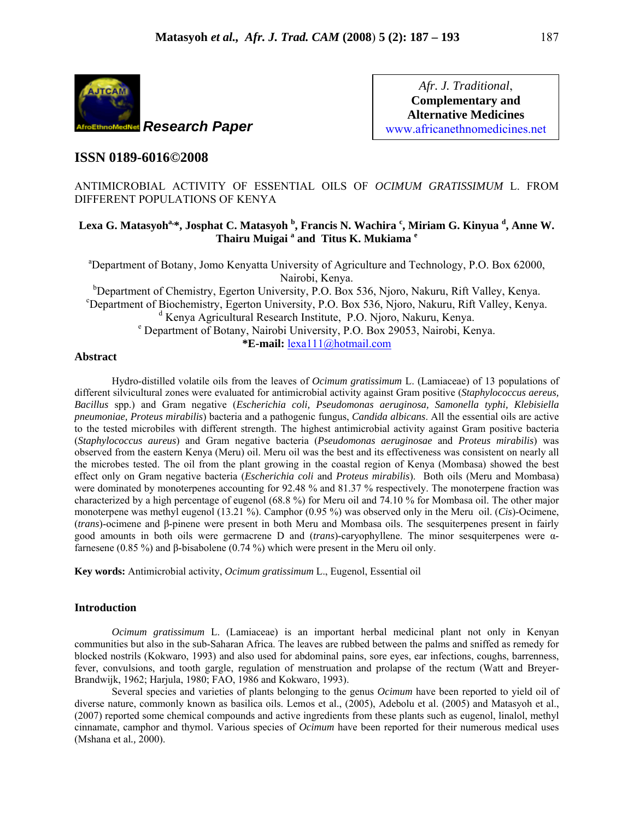

*Afr. J. Traditional*, **Complementary and Alternative Medicines**  www.africanethnomedicines.net

# **ISSN 0189-6016©2008**

ANTIMICROBIAL ACTIVITY OF ESSENTIAL OILS OF *OCIMUM GRATISSIMUM* L. FROM DIFFERENT POPULATIONS OF KENYA

# Lexa G. Matasyoh<sup>a,</sup>\*, Josphat C. Matasyoh <sup>b</sup>, Francis N. Wachira <sup>c</sup>, Miriam G. Kinyua <sup>d</sup>, Anne W. **Thairu Muigai <sup>a</sup> and Titus K. Mukiama <sup>e</sup>**

<sup>a</sup>Department of Botany, Jomo Kenyatta University of Agriculture and Technology, P.O. Box 62000, Nairobi, Kenya. <sup>b</sup>Department of Chemistry, Egerton University, P.O. Box 536, Njoro, Nakuru, Rift Valley, Kenya.<br><sup>c</sup>Department of Biochamistry, Egerton University, P.O. Box 536, Njoro, Nakuru, Rift Valley, Kenya. Department of Biochemistry, Egerton University, P.O. Box 536, Njoro, Nakuru, Rift Valley, Kenya. <sup>d</sup> Kenya Agricultural Research Institute, P.O. Njoro, Nakuru, Kenya. Department of Botany, Nairobi University, P.O. Box 29053, Nairobi, Kenya.

**\*E-mail:** lexa111@hotmail.com

## **Abstract**

Hydro-distilled volatile oils from the leaves of *Ocimum gratissimum* L. (Lamiaceae) of 13 populations of different silvicultural zones were evaluated for antimicrobial activity against Gram positive (*Staphylococcus aereus, Bacillus* spp.) and Gram negative (*Escherichia coli, Pseudomonas aeruginosa, Samonella typhi, Klebisiella pneumoniae, Proteus mirabilis*) bacteria and a pathogenic fungus, *Candida albicans*. All the essential oils are active to the tested microbiles with different strength. The highest antimicrobial activity against Gram positive bacteria (*Staphylococcus aureus*) and Gram negative bacteria (*Pseudomonas aeruginosae* and *Proteus mirabilis*) was observed from the eastern Kenya (Meru) oil. Meru oil was the best and its effectiveness was consistent on nearly all the microbes tested. The oil from the plant growing in the coastal region of Kenya (Mombasa) showed the best effect only on Gram negative bacteria (*Escherichia coli* and *Proteus mirabilis*). Both oils (Meru and Mombasa) were dominated by monoterpenes accounting for 92.48 % and 81.37 % respectively. The monoterpene fraction was characterized by a high percentage of eugenol (68.8 %) for Meru oil and 74.10 % for Mombasa oil. The other major monoterpene was methyl eugenol (13.21 %). Camphor (0.95 %) was observed only in the Meru oil. (*Cis*)-Ocimene, (*trans*)-ocimene and β-pinene were present in both Meru and Mombasa oils. The sesquiterpenes present in fairly good amounts in both oils were germacrene D and (*trans*)-caryophyllene. The minor sesquiterpenes were αfarnesene (0.85 %) and β-bisabolene (0.74 %) which were present in the Meru oil only.

**Key words:** Antimicrobial activity, *Ocimum gratissimum* L., Eugenol, Essential oil

## **Introduction**

*Ocimum gratissimum* L. (Lamiaceae) is an important herbal medicinal plant not only in Kenyan communities but also in the sub-Saharan Africa. The leaves are rubbed between the palms and sniffed as remedy for blocked nostrils (Kokwaro, 1993) and also used for abdominal pains, sore eyes, ear infections, coughs, barrenness, fever, convulsions, and tooth gargle, regulation of menstruation and prolapse of the rectum (Watt and Breyer-Brandwijk, 1962; Harjula, 1980; FAO, 1986 and Kokwaro, 1993).

Several species and varieties of plants belonging to the genus *Ocimum* have been reported to yield oil of diverse nature, commonly known as basilica oils. Lemos et al., (2005), Adebolu et al. (2005) and Matasyoh et al., (2007) reported some chemical compounds and active ingredients from these plants such as eugenol, linalol, methyl cinnamate, camphor and thymol. Various species of *Ocimum* have been reported for their numerous medical uses (Mshana et al*.,* 2000).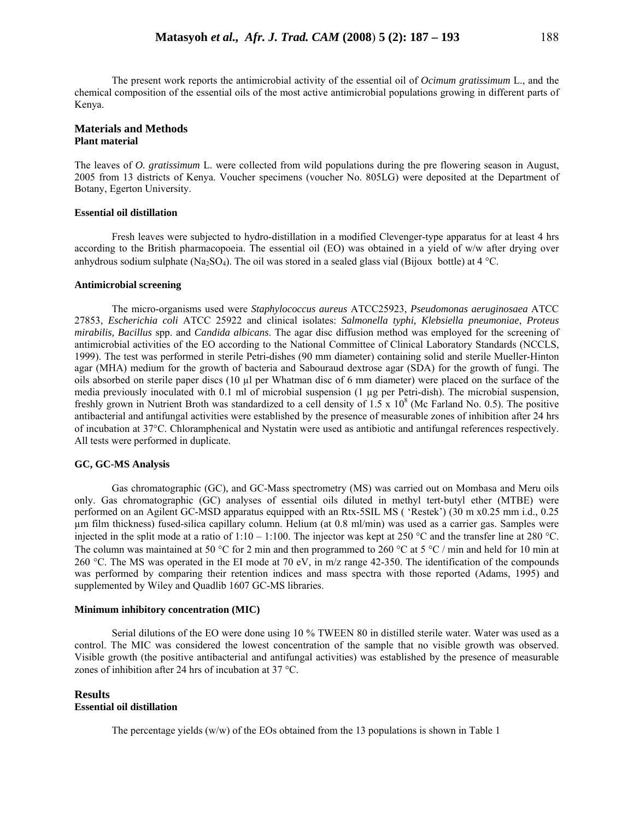The present work reports the antimicrobial activity of the essential oil of *Ocimum gratissimum* L., and the chemical composition of the essential oils of the most active antimicrobial populations growing in different parts of Kenya.

## **Materials and Methods Plant material**

The leaves of *O. gratissimum* L. were collected from wild populations during the pre flowering season in August, 2005 from 13 districts of Kenya. Voucher specimens (voucher No. 805LG) were deposited at the Department of Botany, Egerton University.

## **Essential oil distillation**

Fresh leaves were subjected to hydro-distillation in a modified Clevenger-type apparatus for at least 4 hrs according to the British pharmacopoeia. The essential oil (EO) was obtained in a yield of w/w after drying over anhydrous sodium sulphate (Na<sub>2</sub>SO<sub>4</sub>). The oil was stored in a sealed glass vial (Bijoux bottle) at 4 °C.

### **Antimicrobial screening**

The micro-organisms used were *Staphylococcus aureus* ATCC25923, *Pseudomonas aeruginosaea* ATCC 27853, *Escherichia coli* ATCC 25922 and clinical isolates: *Salmonella typhi, Klebsiella pneumoniae*, *Proteus mirabilis, Bacillus* spp. and *Candida albicans*. The agar disc diffusion method was employed for the screening of antimicrobial activities of the EO according to the National Committee of Clinical Laboratory Standards (NCCLS, 1999). The test was performed in sterile Petri-dishes (90 mm diameter) containing solid and sterile Mueller-Hinton agar (MHA) medium for the growth of bacteria and Sabouraud dextrose agar (SDA) for the growth of fungi. The oils absorbed on sterile paper discs (10 µl per Whatman disc of 6 mm diameter) were placed on the surface of the media previously inoculated with 0.1 ml of microbial suspension (1 µg per Petri-dish). The microbial suspension, freshly grown in Nutrient Broth was standardized to a cell density of  $1.5 \times 10^8$  (Mc Farland No. 0.5). The positive antibacterial and antifungal activities were established by the presence of measurable zones of inhibition after 24 hrs of incubation at 37°C. Chloramphenical and Nystatin were used as antibiotic and antifungal references respectively. All tests were performed in duplicate.

## **GC, GC-MS Analysis**

Gas chromatographic (GC), and GC-Mass spectrometry (MS) was carried out on Mombasa and Meru oils only. Gas chromatographic (GC) analyses of essential oils diluted in methyl tert-butyl ether (MTBE) were performed on an Agilent GC-MSD apparatus equipped with an Rtx-5SIL MS ( 'Restek') (30 m x0.25 mm i.d., 0.25 µm film thickness) fused-silica capillary column. Helium (at 0.8 ml/min) was used as a carrier gas. Samples were injected in the split mode at a ratio of  $1:10 - 1:100$ . The injector was kept at 250 °C and the transfer line at 280 °C. The column was maintained at 50 °C for 2 min and then programmed to 260 °C at 5 °C / min and held for 10 min at 260 °C. The MS was operated in the EI mode at 70 eV, in m/z range 42-350. The identification of the compounds was performed by comparing their retention indices and mass spectra with those reported (Adams, 1995) and supplemented by Wiley and Quadlib 1607 GC-MS libraries.

## **Minimum inhibitory concentration (MIC)**

Serial dilutions of the EO were done using 10 % TWEEN 80 in distilled sterile water. Water was used as a control. The MIC was considered the lowest concentration of the sample that no visible growth was observed. Visible growth (the positive antibacterial and antifungal activities) was established by the presence of measurable zones of inhibition after 24 hrs of incubation at 37 °C.

## **Results**

# **Essential oil distillation**

The percentage yields  $(w/w)$  of the EOs obtained from the 13 populations is shown in Table 1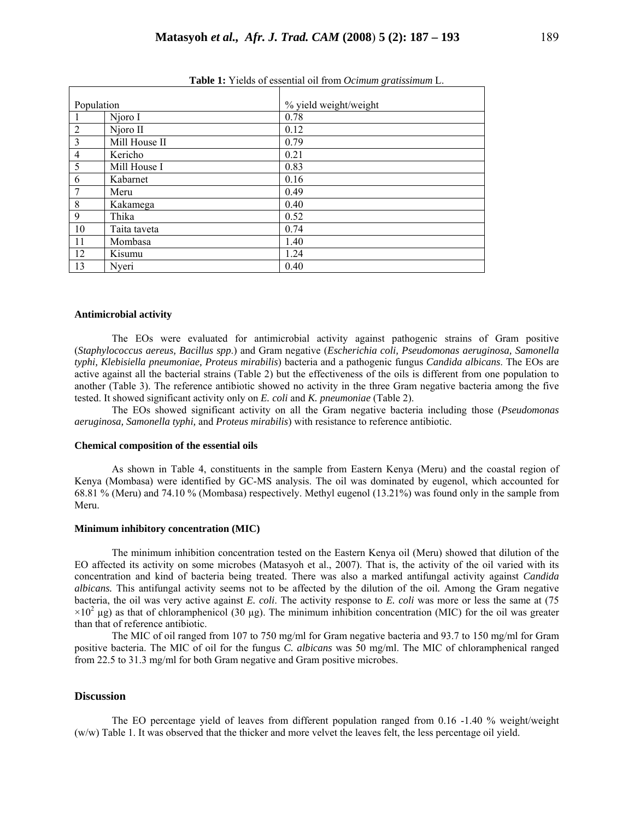| Population     |               | % yield weight/weight |  |  |  |  |  |
|----------------|---------------|-----------------------|--|--|--|--|--|
|                | Njoro I       | 0.78                  |  |  |  |  |  |
| $\overline{2}$ | Njoro II      | 0.12                  |  |  |  |  |  |
| 3              | Mill House II | 0.79                  |  |  |  |  |  |
| $\overline{4}$ | Kericho       | 0.21                  |  |  |  |  |  |
| 5              | Mill House I  | 0.83                  |  |  |  |  |  |
| 6              | Kabarnet      | 0.16                  |  |  |  |  |  |
| $\overline{7}$ | Meru          | 0.49                  |  |  |  |  |  |
| 8              | Kakamega      | 0.40                  |  |  |  |  |  |
| 9              | Thika         | 0.52                  |  |  |  |  |  |
| 10             | Taita taveta  | 0.74                  |  |  |  |  |  |
| 11             | Mombasa       | 1.40                  |  |  |  |  |  |
| 12             | Kisumu        | 1.24                  |  |  |  |  |  |
| 13             | Nyeri         | 0.40                  |  |  |  |  |  |

**Table 1:** Yields of essential oil from *Ocimum gratissimum* L.

#### **Antimicrobial activity**

The EOs were evaluated for antimicrobial activity against pathogenic strains of Gram positive (*Staphylococcus aereus, Bacillus spp*.) and Gram negative (*Escherichia coli, Pseudomonas aeruginosa, Samonella typhi, Klebisiella pneumoniae, Proteus mirabilis*) bacteria and a pathogenic fungus *Candida albicans*. The EOs are active against all the bacterial strains (Table 2) but the effectiveness of the oils is different from one population to another (Table 3). The reference antibiotic showed no activity in the three Gram negative bacteria among the five tested. It showed significant activity only on *E. coli* and *K. pneumoniae* (Table 2).

The EOs showed significant activity on all the Gram negative bacteria including those (*Pseudomonas aeruginosa, Samonella typhi,* and *Proteus mirabilis*) with resistance to reference antibiotic.

### **Chemical composition of the essential oils**

As shown in Table 4, constituents in the sample from Eastern Kenya (Meru) and the coastal region of Kenya (Mombasa) were identified by GC-MS analysis. The oil was dominated by eugenol, which accounted for 68.81 % (Meru) and 74.10 % (Mombasa) respectively. Methyl eugenol (13.21%) was found only in the sample from Meru.

## **Minimum inhibitory concentration (MIC)**

The minimum inhibition concentration tested on the Eastern Kenya oil (Meru) showed that dilution of the EO affected its activity on some microbes (Matasyoh et al., 2007). That is, the activity of the oil varied with its concentration and kind of bacteria being treated. There was also a marked antifungal activity against *Candida albicans.* This antifungal activity seems not to be affected by the dilution of the oil*.* Among the Gram negative bacteria, the oil was very active against *E. coli*. The activity response to *E. coli* was more or less the same at (75  $\times 10^2$  µg) as that of chloramphenicol (30 µg). The minimum inhibition concentration (MIC) for the oil was greater than that of reference antibiotic.

The MIC of oil ranged from 107 to 750 mg/ml for Gram negative bacteria and 93.7 to 150 mg/ml for Gram positive bacteria. The MIC of oil for the fungus *C. albicans* was 50 mg/ml. The MIC of chloramphenical ranged from 22.5 to 31.3 mg/ml for both Gram negative and Gram positive microbes.

### **Discussion**

The EO percentage yield of leaves from different population ranged from 0.16 -1.40 % weight/weight (w/w) Table 1. It was observed that the thicker and more velvet the leaves felt, the less percentage oil yield.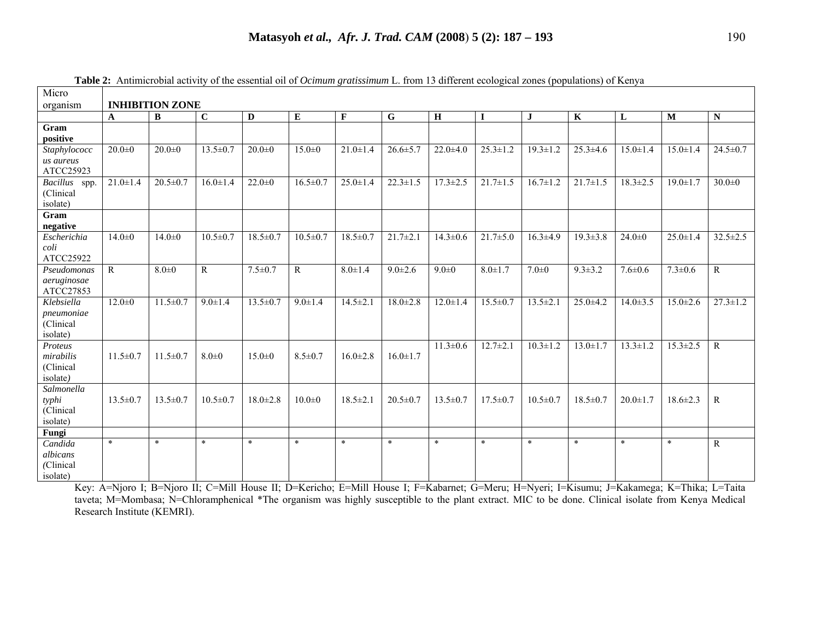| Micro                                              |                        |                |                |                |                |                |                |                |                |                |                |                |                |                |
|----------------------------------------------------|------------------------|----------------|----------------|----------------|----------------|----------------|----------------|----------------|----------------|----------------|----------------|----------------|----------------|----------------|
| organism                                           | <b>INHIBITION ZONE</b> |                |                |                |                |                |                |                |                |                |                |                |                |                |
|                                                    | $\mathbf A$            | B              | $\overline{C}$ | $\mathbf D$    | E              | $\mathbf F$    | ${\bf G}$      | $\mathbf H$    | $\bf{I}$       | $\bf J$        | $\mathbf K$    | L              | M              | ${\bf N}$      |
| Gram<br>positive                                   |                        |                |                |                |                |                |                |                |                |                |                |                |                |                |
| Staphylococc<br>us aureus<br>ATCC25923             | $20.0 + 0$             | $20.0 + 0$     | $13.5 \pm 0.7$ | $20.0 + 0$     | $15.0 \pm 0$   | $21.0 \pm 1.4$ | $26.6 \pm 5.7$ | $22.0 \pm 4.0$ | $25.3 \pm 1.2$ | $19.3 \pm 1.2$ | $25.3 \pm 4.6$ | $15.0 \pm 1.4$ | $15.0 \pm 1.4$ | $24.5 \pm 0.7$ |
| <b>Bacillus</b><br>spp.<br>(Clinical<br>isolate)   | $21.0 \pm 1.4$         | $20.5 \pm 0.7$ | $16.0 \pm 1.4$ | $22.0 \pm 0$   | $16.5 \pm 0.7$ | $25.0 \pm 1.4$ | $22.3 \pm 1.5$ | $17.3 \pm 2.5$ | $21.7 \pm 1.5$ | $16.7 \pm 1.2$ | $21.7 \pm 1.5$ | $18.3 \pm 2.5$ | $19.0 \pm 1.7$ | $30.0 + 0$     |
| Gram<br>negative                                   |                        |                |                |                |                |                |                |                |                |                |                |                |                |                |
| Escherichia<br>coli<br>ATCC25922                   | $14.0 \pm 0$           | $14.0 + 0$     | $10.5 \pm 0.7$ | $18.5 \pm 0.7$ | $10.5 \pm 0.7$ | $18.5 \pm 0.7$ | $21.7 \pm 2.1$ | $14.3 \pm 0.6$ | $21.7 \pm 5.0$ | $16.3 \pm 4.9$ | $19.3 \pm 3.8$ | $24.0 \pm 0$   | $25.0 \pm 1.4$ | $32.5 \pm 2.5$ |
| Pseudomonas<br>aeruginosae<br>ATCC27853            | $\overline{R}$         | $8.0 + 0$      | $\mathbf R$    | $7.5 \pm 0.7$  | $\mathbf R$    | $8.0 \pm 1.4$  | $9.0 \pm 2.6$  | $9.0 + 0$      | $8.0 \pm 1.7$  | $7.0 \pm 0$    | $9.3 \pm 3.2$  | $7.6 \pm 0.6$  | $7.3 \pm 0.6$  | $\mathbf R$    |
| Klebsiella<br>pneumoniae<br>(Clinical)<br>isolate) | $12.0 \pm 0$           | $11.5 \pm 0.7$ | $9.0 \pm 1.4$  | $13.5 \pm 0.7$ | $9.0 \pm 1.4$  | $14.5 \pm 2.1$ | $18.0 \pm 2.8$ | $12.0 \pm 1.4$ | $15.5 \pm 0.7$ | $13.5 \pm 2.1$ | $25.0 + 4.2$   | $14.0 \pm 3.5$ | $15.0 \pm 2.6$ | $27.3 \pm 1.2$ |
| Proteus<br>mirabilis<br>(Clinical<br>isolate)      | $11.5 \pm 0.7$         | $11.5 \pm 0.7$ | $8.0 \pm 0$    | $15.0 \pm 0$   | $8.5 \pm 0.7$  | $16.0 \pm 2.8$ | $16.0 \pm 1.7$ | $11.3 \pm 0.6$ | $12.7 \pm 2.1$ | $10.3 \pm 1.2$ | $13.0 \pm 1.7$ | $13.3 \pm 1.2$ | $15.3 \pm 2.5$ | $\mathbb{R}$   |
| Salmonella<br>typhi<br>(Clinical<br>isolate)       | $13.5 \pm 0.7$         | $13.5 \pm 0.7$ | $10.5 \pm 0.7$ | $18.0 \pm 2.8$ | $10.0 \pm 0$   | $18.5 \pm 2.1$ | $20.5 \pm 0.7$ | $13.5 \pm 0.7$ | $17.5 \pm 0.7$ | $10.5 \pm 0.7$ | $18.5 \pm 0.7$ | $20.0 \pm 1.7$ | $18.6 \pm 2.3$ | R              |
| Fungi                                              |                        |                |                |                |                |                |                |                |                |                |                |                |                |                |
| Candida<br>albicans<br>(Clinical<br>isolate)       | $\ast$                 | $\ast$         | $\ast$         | $\ast$         | $\ast$         | $\ast$         | $\ast$         | $\ast$         | $\ast$         | $\ast$         | $\ast$         | $\ast$         | $\ast$         | R              |

**Table 2:** Antimicrobial activity of the essential oil of *Ocimum gratissimum* L. from 13 different ecological zones (populations) of Kenya

Key: A=Njoro I; B=Njoro II; C=Mill House II; D=Kericho; E=Mill House I; F=Kabarnet; G=Meru; H=Nyeri; I=Kisumu; J=Kakamega; K=Thika; L=Taita taveta; M=Mombasa; N=Chloramphenical \*The organism was highly susceptible to the plant extract. MIC to be done. Clinical isolate from Kenya Medical Research Institute (KEMRI).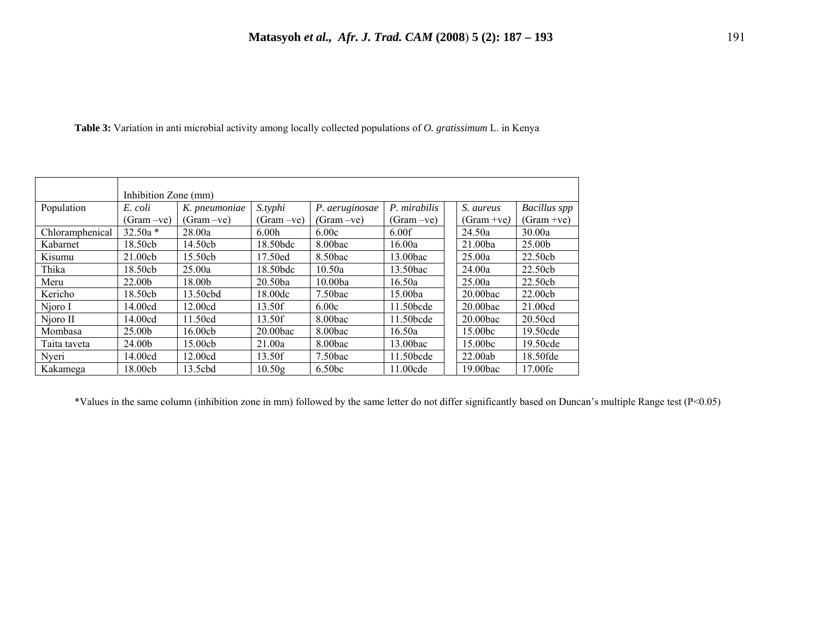|  |  | <b>Table 3:</b> Variation in anti microbial activity among locally collected populations of <i>O. gratissimum</i> L. in Kenya |  |  |  |  |  |  |
|--|--|-------------------------------------------------------------------------------------------------------------------------------|--|--|--|--|--|--|
|--|--|-------------------------------------------------------------------------------------------------------------------------------|--|--|--|--|--|--|

|                 | Inhibition Zone (mm) |               |                    |                     |              |  |              |                     |  |  |
|-----------------|----------------------|---------------|--------------------|---------------------|--------------|--|--------------|---------------------|--|--|
| Population      | E. coli              | K. pneumoniae | S.typhi            | P. aeruginosae      | P. mirabilis |  | S. aureus    | <b>Bacillus</b> spp |  |  |
|                 | $(Gram -ve)$         | $(Gram -ve)$  | (Gram –ve)         | $(Gram -ve)$        | $(Gram -ve)$ |  | $(Gram +ve)$ | $(Gram +ve)$        |  |  |
| Chloramphenical | $32.50a*$            | 28.00a        | 6.00 <sub>h</sub>  | 6.00c               | 6.00f        |  | 24.50a       | 30.00a              |  |  |
| Kabarnet        | 18.50cb              | 14.50cb       | 18.50bdc           | $8.00$ bac          | 16.00a       |  | 21.00ba      | 25.00b              |  |  |
| Kisumu          | 21.00cb              | 15.50cb       | 17.50ed            | 8.50bac             | 13.00bac     |  | 25.00a       | 22.50cb             |  |  |
| Thika           | 18.50cb              | 25.00a        | 18.50bdc           | 10.50a              | 13.50bac     |  | 24.00a       | 22.50cb             |  |  |
| Meru            | 22.00 <sub>b</sub>   | 18.00b        | 20.50ba            | 10.00ba             | 16.50a       |  | 25.00a       | 22.50cb             |  |  |
| Kericho         | 18.50cb              | 13.50cbd      | 18.00dc            | $7.50$ bac          | 15.00ba      |  | $20.00$ bac  | 22.00cb             |  |  |
| Njoro I         | 14.00cd              | 12.00cd       | 13.50f             | 6.00c               | 11.50bcde    |  | $20.00$ bac  | 21.00cd             |  |  |
| Njoro II        | 14.00cd              | 11.50cd       | 13.50f             | 8.00 <sub>bac</sub> | 11.50bcde    |  | $20.00$ bac  | 20.50cd             |  |  |
| Mombasa         | 25.00b               | 16.00cb       | $20.00$ bac        | 8.00bac             | 16.50a       |  | 15.00bc      | 19.50cde            |  |  |
| Taita taveta    | 24.00b               | 15.00cb       | 21.00a             | 8.00 <sub>bac</sub> | 13.00bac     |  | 15.00bc      | 19.50cde            |  |  |
| Nyeri           | 14.00cd              | 12.00cd       | 13.50f             | $7.50$ bac          | 11.50bcde    |  | 22.00ab      | 18.50fde            |  |  |
| Kakamega        | 18.00cb              | 13.5cbd       | 10.50 <sub>g</sub> | 6.50 <sub>bc</sub>  | 11.00cde     |  | $19.00$ bac  | 17.00fe             |  |  |

\*Values in the same column (inhibition zone in mm) followed by the same letter do not differ significantly based on Duncan's multiple Range test (P<0.05)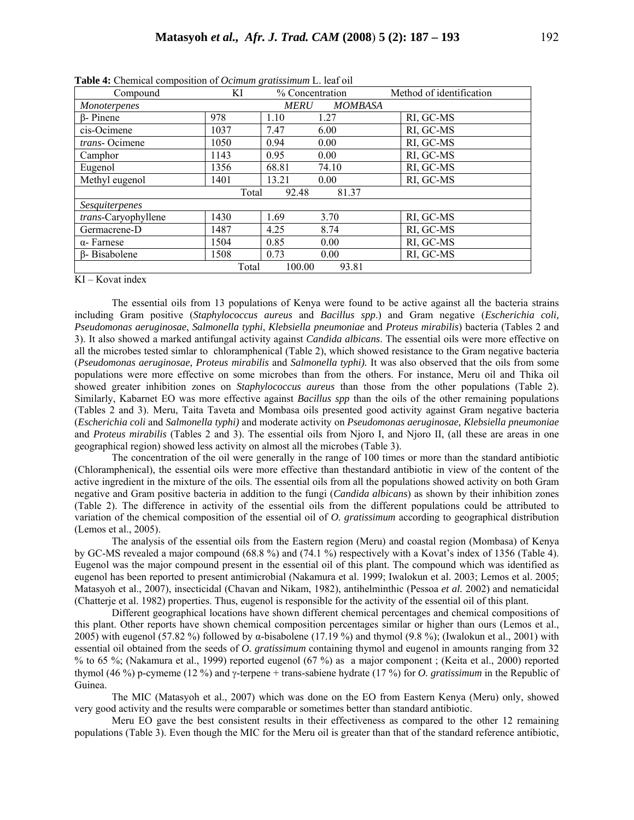| Compound                | KI    | % Concentration |         | Method of identification |  |  |  |  |  |  |
|-------------------------|-------|-----------------|---------|--------------------------|--|--|--|--|--|--|
| Monoterpenes            |       | <i>MERU</i>     | MOMBASA |                          |  |  |  |  |  |  |
| $\beta$ - Pinene        | 978   | 1.10            | 1.27    | RI, GC-MS                |  |  |  |  |  |  |
| cis-Ocimene             | 1037  | 7.47            | 6.00    | RI, GC-MS                |  |  |  |  |  |  |
| trans-Ocimene           | 1050  | 0.94            | 0.00    | RI, GC-MS                |  |  |  |  |  |  |
| Camphor                 | 1143  | 0.95            | 0.00    | RI, GC-MS                |  |  |  |  |  |  |
| Eugenol                 | 1356  | 68.81           | 74.10   | RI, GC-MS                |  |  |  |  |  |  |
| Methyl eugenol          | 1401  | 13.21           | 0.00    | RI, GC-MS                |  |  |  |  |  |  |
| 92.48<br>81.37<br>Total |       |                 |         |                          |  |  |  |  |  |  |
| Sesquiterpenes          |       |                 |         |                          |  |  |  |  |  |  |
| trans-Caryophyllene     | 1430  | 1.69            | 3.70    | RI, GC-MS                |  |  |  |  |  |  |
| Germacrene-D            | 1487  | 4.25            | 8.74    | RI, GC-MS                |  |  |  |  |  |  |
| $\alpha$ - Farnese      | 1504  | 0.85            | 0.00    | RI, GC-MS                |  |  |  |  |  |  |
| $\beta$ - Bisabolene    | 1508  | 0.73            | 0.00    | RI, GC-MS                |  |  |  |  |  |  |
|                         | Total | 100.00          | 93.81   |                          |  |  |  |  |  |  |

**Table 4:** Chemical composition of *Ocimum gratissimum* L. leaf oil

KI – Kovat index

The essential oils from 13 populations of Kenya were found to be active against all the bacteria strains including Gram positive (*Staphylococcus aureus* and *Bacillus spp*.) and Gram negative (*Escherichia coli, Pseudomonas aeruginosae*, *Salmonella typhi*, *Klebsiella pneumoniae* and *Proteus mirabilis*) bacteria (Tables 2 and 3). It also showed a marked antifungal activity against *Candida albicans*. The essential oils were more effective on all the microbes tested simlar to chloramphenical (Table 2), which showed resistance to the Gram negative bacteria (*Pseudomonas aeruginosae, Proteus mirabilis* and *Salmonella typhi).* It was also observed that the oils from some populations were more effective on some microbes than from the others. For instance, Meru oil and Thika oil showed greater inhibition zones on *Staphylococcus aureus* than those from the other populations (Table 2). Similarly, Kabarnet EO was more effective against *Bacillus spp* than the oils of the other remaining populations (Tables 2 and 3). Meru, Taita Taveta and Mombasa oils presented good activity against Gram negative bacteria (*Escherichia coli* and *Salmonella typhi)* and moderate activity on *Pseudomonas aeruginosae, Klebsiella pneumoniae* and *Proteus mirabilis* (Tables 2 and 3). The essential oils from Njoro I, and Njoro II, (all these are areas in one geographical region) showed less activity on almost all the microbes (Table 3).

The concentration of the oil were generally in the range of 100 times or more than the standard antibiotic (Chloramphenical), the essential oils were more effective than thestandard antibiotic in view of the content of the active ingredient in the mixture of the oils. The essential oils from all the populations showed activity on both Gram negative and Gram positive bacteria in addition to the fungi (*Candida albicans*) as shown by their inhibition zones (Table 2). The difference in activity of the essential oils from the different populations could be attributed to variation of the chemical composition of the essential oil of *O. gratissimum* according to geographical distribution (Lemos et al., 2005).

The analysis of the essential oils from the Eastern region (Meru) and coastal region (Mombasa) of Kenya by GC-MS revealed a major compound (68.8 %) and (74.1 %) respectively with a Kovat's index of 1356 (Table 4). Eugenol was the major compound present in the essential oil of this plant. The compound which was identified as eugenol has been reported to present antimicrobial (Nakamura et al. 1999; Iwalokun et al. 2003; Lemos et al. 2005; Matasyoh et al., 2007), insecticidal (Chavan and Nikam, 1982), antihelminthic (Pessoa *et al.* 2002) and nematicidal (Chatterje et al. 1982) properties. Thus, eugenol is responsible for the activity of the essential oil of this plant.

Different geographical locations have shown different chemical percentages and chemical compositions of this plant. Other reports have shown chemical composition percentages similar or higher than ours (Lemos et al., 2005) with eugenol (57.82 %) followed by α-bisabolene (17.19 %) and thymol (9.8 %); (Iwalokun et al., 2001) with essential oil obtained from the seeds of *O. gratissimum* containing thymol and eugenol in amounts ranging from 32 % to 65 %; (Nakamura et al., 1999) reported eugenol (67 %) as a major component ; (Keita et al., 2000) reported thymol (46 %) p-cymeme (12 %) and γ-terpene + trans-sabiene hydrate (17 %) for *O. gratissimum* in the Republic of Guinea.

The MIC (Matasyoh et al., 2007) which was done on the EO from Eastern Kenya (Meru) only, showed very good activity and the results were comparable or sometimes better than standard antibiotic.

Meru EO gave the best consistent results in their effectiveness as compared to the other 12 remaining populations (Table 3). Even though the MIC for the Meru oil is greater than that of the standard reference antibiotic,